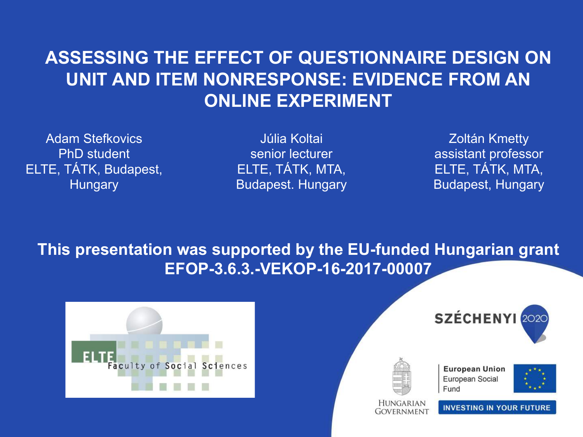### **ASSESSING THE EFFECT OF QUESTIONNAIRE DESIGN ON UNIT AND ITEM NONRESPONSE: EVIDENCE FROM AN ONLINE EXPERIMENT**

Adam Stefkovics PhD student ELTE, TÁTK, Budapest, **Hungary** 

Júlia Koltai senior lecturer ELTE, TÁTK, MTA, Budapest. Hungary

Zoltán Kmetty assistant professor ELTE, TÁTK, MTA, Budapest, Hungary

**This presentation was supported by the EU-funded Hungarian grant EFOP-3.6.3.-VEKOP-16-2017-00007**







GOVERNMENT

**European Union** European Social Fund



**INVESTING IN YOUR FUTURE**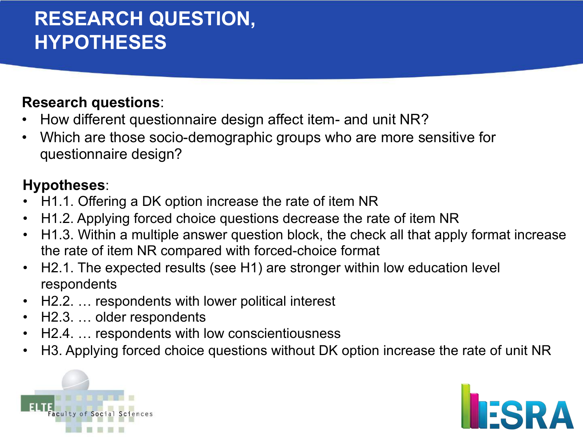## **RESEARCH QUESTION, HYPOTHESES**

#### **Research questions**:

- How different questionnaire design affect item- and unit NR?
- Which are those socio-demographic groups who are more sensitive for questionnaire design?

#### **Hypotheses**:

- H1.1. Offering a DK option increase the rate of item NR
- H1.2. Applying forced choice questions decrease the rate of item NR
- H1.3. Within a multiple answer question block, the check all that apply format increase the rate of item NR compared with forced-choice format
- H2.1. The expected results (see H1) are stronger within low education level respondents
- H2.2. … respondents with lower political interest
- H2.3. … older respondents
- H2.4. ... respondents with low conscientiousness
- H3. Applying forced choice questions without DK option increase the rate of unit NR



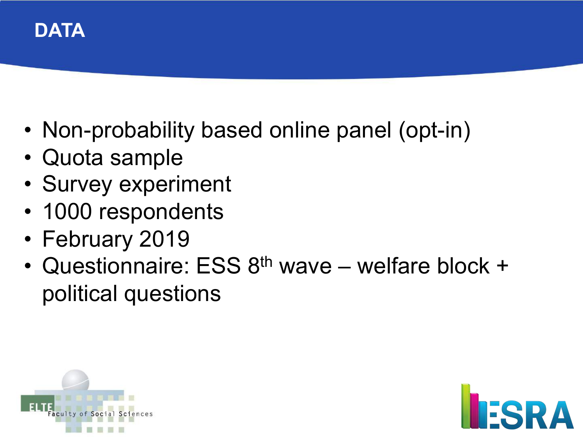

- Non-probability based online panel (opt-in)
- Quota sample
- Survey experiment
- 1000 respondents
- February 2019
- Questionnaire: ESS 8<sup>th</sup> wave welfare block + political questions



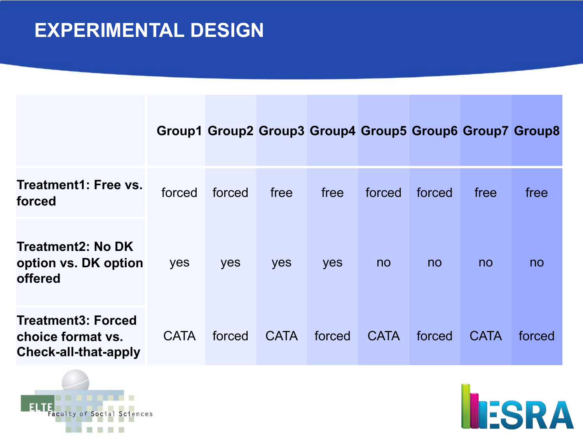## **EXPERIMENTAL DESIGN**

|                                                                               |             | Group1 Group2 Group3 Group4 Group5 Group6 Group7 Group8 |             |        |             |        |             |        |
|-------------------------------------------------------------------------------|-------------|---------------------------------------------------------|-------------|--------|-------------|--------|-------------|--------|
| <b>Treatment1: Free vs.</b><br>forced                                         | forced      | forced                                                  | free        | free   | forced      | forced | free        | free   |
| Treatment2: No DK<br>option vs. DK option<br>offered                          | yes         | yes                                                     | yes         | yes    | no          | no     | no          | no     |
| <b>Treatment3: Forced</b><br>choice format vs.<br><b>Check-all-that-apply</b> | <b>CATA</b> | forced                                                  | <b>CATA</b> | forced | <b>CATA</b> | forced | <b>CATA</b> | forced |



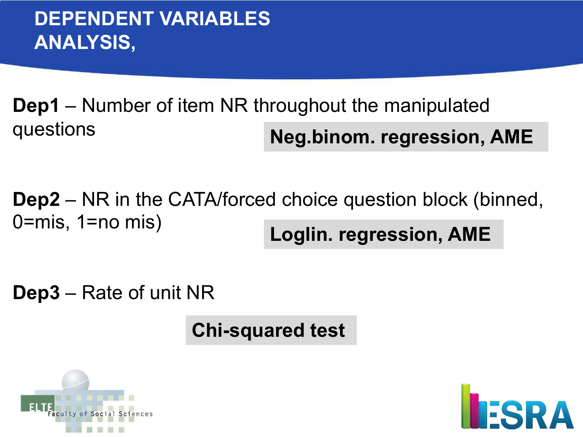**Dep1** – Number of item NR throughout the manipulated questions **Neg.binom. regression, AME**

**Dep2** – NR in the CATA/forced choice question block (binned, 0=mis, 1=no mis) **Loglin. regression, AME**

**Dep3** – Rate of unit NR

**Chi-squared test**



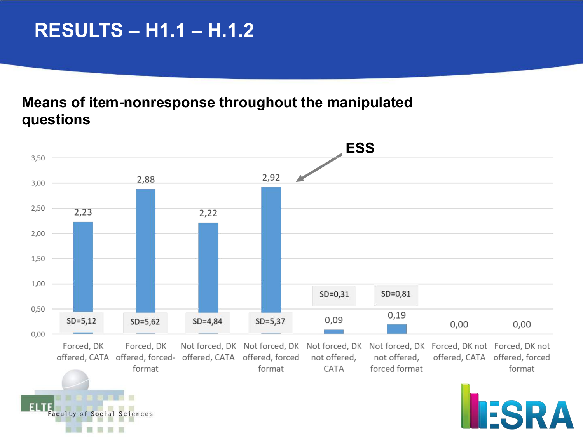## **RESULTS – H1.1 – H.1.2**

#### **Means of item-nonresponse throughout the manipulated questions**

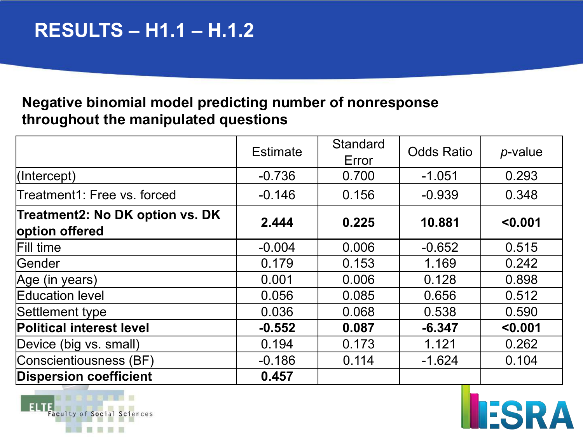#### **Negative binomial model predicting number of nonresponse throughout the manipulated questions**

|                                                   | <b>Estimate</b> | <b>Standard</b><br>Error | <b>Odds Ratio</b> | $p$ -value |
|---------------------------------------------------|-----------------|--------------------------|-------------------|------------|
| $ $ (Intercept)                                   | $-0.736$        | 0.700                    | $-1.051$          | 0.293      |
| Treatment1: Free vs. forced                       | $-0.146$        | 0.156                    | $-0.939$          | 0.348      |
| Treatment2: No DK option vs. DK<br>option offered | 2.444           | 0.225                    | 10.881            | < 0.001    |
| Fill time                                         | $-0.004$        | 0.006                    | $-0.652$          | 0.515      |
| Gender                                            | 0.179           | 0.153                    | 1.169             | 0.242      |
| Age (in years)                                    | 0.001           | 0.006                    | 0.128             | 0.898      |
| Education level                                   | 0.056           | 0.085                    | 0.656             | 0.512      |
| Settlement type                                   | 0.036           | 0.068                    | 0.538             | 0.590      |
| <b>Political interest level</b>                   | $-0.552$        | 0.087                    | $-6.347$          | < 0.001    |
| Device (big vs. small)                            | 0.194           | 0.173                    | 1.121             | 0.262      |
| Conscientiousness (BF)                            | $-0.186$        | 0.114                    | $-1.624$          | 0.104      |
| <b>Dispersion coefficient</b>                     | 0.457           |                          |                   |            |



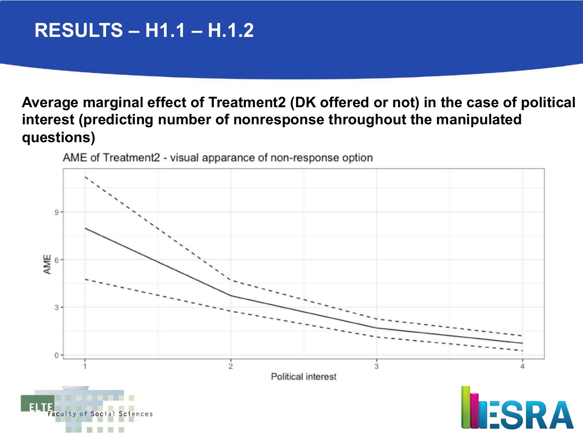## **RESULTS – H1.1 – H.1.2**

#### **Average marginal effect of Treatment2 (DK offered or not) in the case of political interest (predicting number of nonresponse throughout the manipulated questions)**



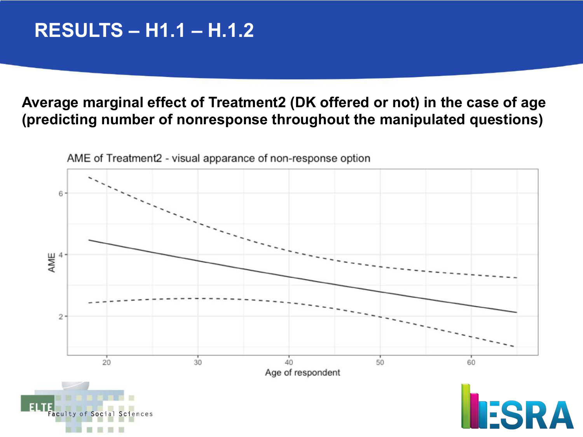## **RESULTS – H1.1 – H.1.2**

#### **Average marginal effect of Treatment2 (DK offered or not) in the case of age (predicting number of nonresponse throughout the manipulated questions)**

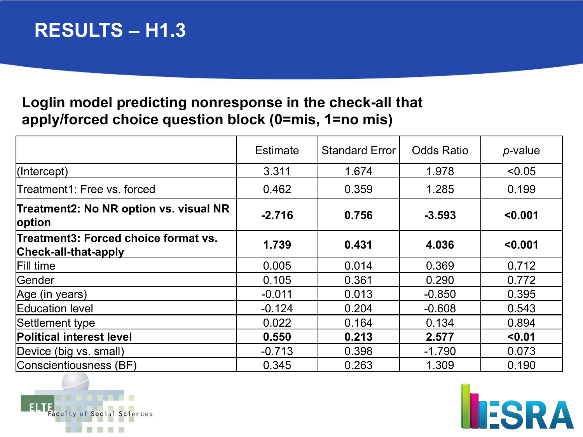## **RESULTS – H1.3**

#### **Loglin model predicting nonresponse in the check-all that apply/forced choice question block (0=mis, 1=no mis)**

|                                                              | <b>Estimate</b> | <b>Standard Error</b> | <b>Odds Ratio</b> | $p$ -value |
|--------------------------------------------------------------|-----------------|-----------------------|-------------------|------------|
| $ $ (Intercept)                                              | 3.311           | 1.674                 | 1.978             | < 0.05     |
| Treatment1: Free vs. forced                                  | 0.462           | 0.359                 | 1.285             | 0.199      |
| Treatment2: No NR option vs. visual NR<br>option             | $-2.716$        | 0.756                 | $-3.593$          | < 0.001    |
| Treatment3: Forced choice format vs.<br>Check-all-that-apply | 1.739           | 0.431                 | 4.036             | < 0.001    |
| Fill time                                                    | 0.005           | 0.014                 | 0.369             | 0.712      |
| Gender                                                       | 0.105           | 0.361                 | 0.290             | 0.772      |
| Age (in years)                                               | $-0.011$        | 0.013                 | $-0.850$          | 0.395      |
| Education level                                              | $-0.124$        | 0.204                 | $-0.608$          | 0.543      |
| Settlement type                                              | 0.022           | 0.164                 | 0.134             | 0.894      |
| <b>Political interest level</b>                              | 0.550           | 0.213                 | 2.577             | < 0.01     |
| Device (big vs. small)                                       | $-0.713$        | 0.398                 | $-1.790$          | 0.073      |
| Conscientiousness (BF)                                       | 0.345           | 0.263                 | 1.309             | 0.190      |



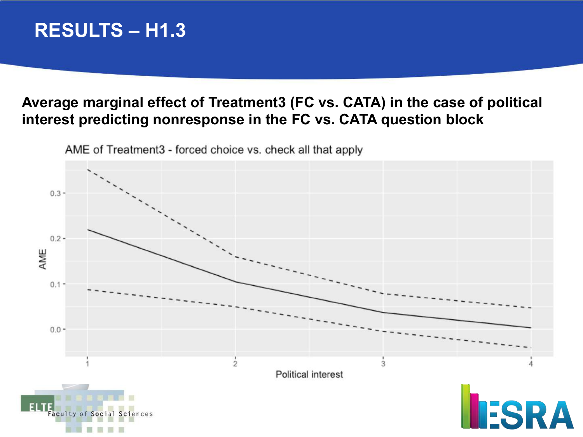## **RESULTS – H1.3**

#### **Average marginal effect of Treatment3 (FC vs. CATA) in the case of political interest predicting nonresponse in the FC vs. CATA question block**

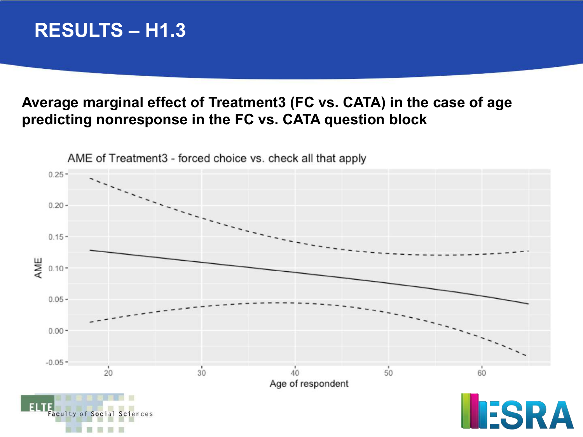## **RESULTS – H1.3**

#### **Average marginal effect of Treatment3 (FC vs. CATA) in the case of age predicting nonresponse in the FC vs. CATA question block**

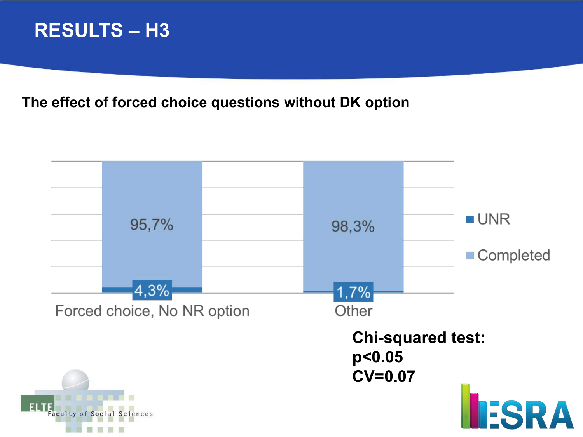## **RESULTS – H3**

**The effect of forced choice questions without DK option**

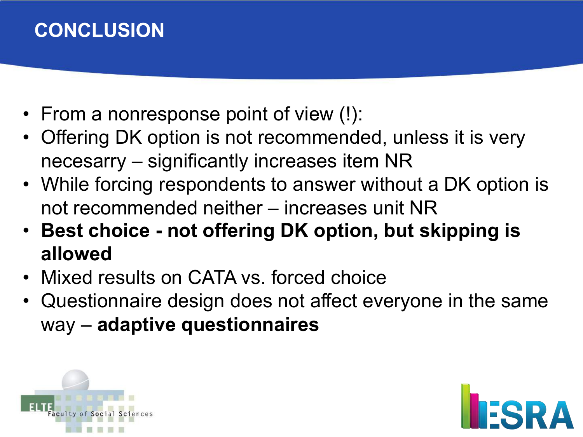## **CONCLUSION**

- From a nonresponse point of view (!):
- Offering DK option is not recommended, unless it is very necesarry – significantly increases item NR
- While forcing respondents to answer without a DK option is not recommended neither – increases unit NR
- **Best choice - not offering DK option, but skipping is allowed**
- Mixed results on CATA vs. forced choice
- Questionnaire design does not affect everyone in the same way – **adaptive questionnaires**